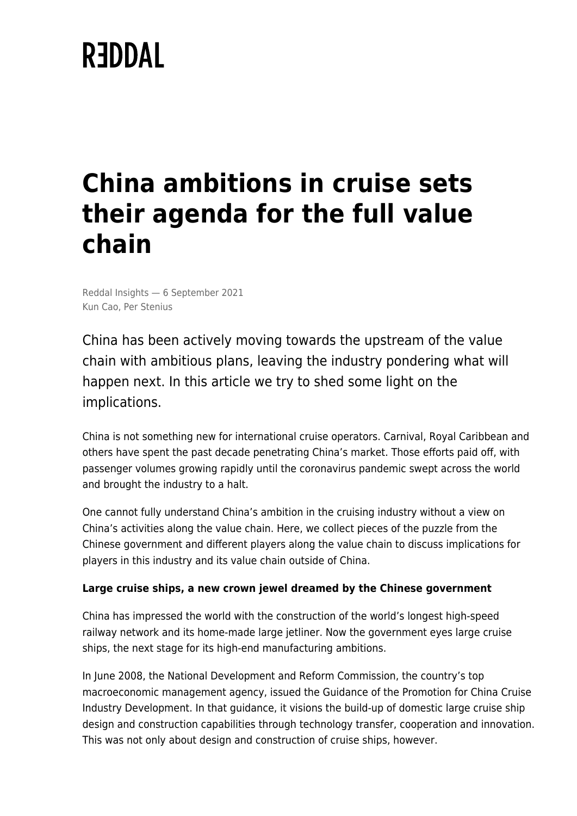# **REDDAL**

# **China ambitions in cruise sets their agenda for the full value chain**

Reddal Insights — 6 September 2021 Kun Cao, Per Stenius

China has been actively moving towards the upstream of the value chain with ambitious plans, leaving the industry pondering what will happen next. In this article we try to shed some light on the implications.

China is not something new for international cruise operators. Carnival, Royal Caribbean and others have spent the past decade penetrating China's market. Those efforts paid off, with passenger volumes growing rapidly until the coronavirus pandemic swept across the world and brought the industry to a halt.

One cannot fully understand China's ambition in the cruising industry without a view on China's activities along the value chain. Here, we collect pieces of the puzzle from the Chinese government and different players along the value chain to discuss implications for players in this industry and its value chain outside of China.

# **Large cruise ships, a new crown jewel dreamed by the Chinese government**

China has impressed the world with the construction of the world's longest high-speed railway network and its home-made large jetliner. Now the government eyes large cruise ships, the next stage for its high-end manufacturing ambitions.

In June 2008, the National Development and Reform Commission, the country's top macroeconomic management agency, issued the Guidance of the Promotion for China Cruise Industry Development. In that guidance, it visions the build-up of domestic large cruise ship design and construction capabilities through technology transfer, cooperation and innovation. This was not only about design and construction of cruise ships, however.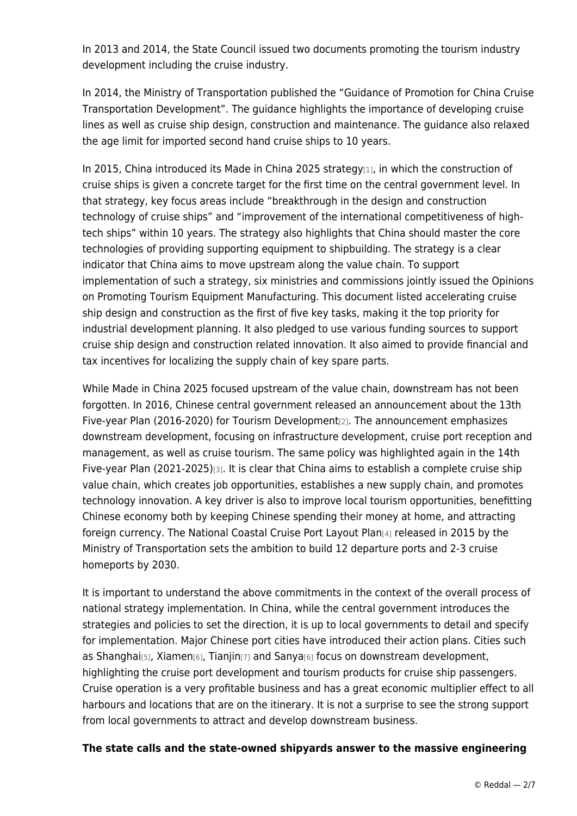In 2013 and 2014, the State Council issued two documents promoting the tourism industry development including the cruise industry.

In 2014, the Ministry of Transportation published the "Guidance of Promotion for China Cruise Transportation Development". The guidance highlights the importance of developing cruise lines as well as cruise ship design, construction and maintenance. The guidance also relaxed the age limit for imported second hand cruise ships to 10 years.

In 2015, China introduced its Made in China 2025 strategy[1], in which the construction of cruise ships is given a concrete target for the first time on the central government level. In that strategy, key focus areas include "breakthrough in the design and construction technology of cruise ships" and "improvement of the international competitiveness of hightech ships" within 10 years. The strategy also highlights that China should master the core technologies of providing supporting equipment to shipbuilding. The strategy is a clear indicator that China aims to move upstream along the value chain. To support implementation of such a strategy, six ministries and commissions jointly issued the Opinions on Promoting Tourism Equipment Manufacturing. This document listed accelerating cruise ship design and construction as the first of five key tasks, making it the top priority for industrial development planning. It also pledged to use various funding sources to support cruise ship design and construction related innovation. It also aimed to provide financial and tax incentives for localizing the supply chain of key spare parts.

While Made in China 2025 focused upstream of the value chain, downstream has not been forgotten. In 2016, Chinese central government released an announcement about the 13th Five-year Plan (2016-2020) for Tourism Development[2]. The announcement emphasizes downstream development, focusing on infrastructure development, cruise port reception and management, as well as cruise tourism. The same policy was highlighted again in the 14th Five-year Plan (2021-2025)[3]. It is clear that China aims to establish a complete cruise ship value chain, which creates job opportunities, establishes a new supply chain, and promotes technology innovation. A key driver is also to improve local tourism opportunities, benefitting Chinese economy both by keeping Chinese spending their money at home, and attracting foreign currency. The National Coastal Cruise Port Layout Plan[4] released in 2015 by the Ministry of Transportation sets the ambition to build 12 departure ports and 2-3 cruise homeports by 2030.

It is important to understand the above commitments in the context of the overall process of national strategy implementation. In China, while the central government introduces the strategies and policies to set the direction, it is up to local governments to detail and specify for implementation. Major Chinese port cities have introduced their action plans. Cities such as Shanghai[5], Xiamen[6], Tianjin[7] and Sanya[6] focus on downstream development, highlighting the cruise port development and tourism products for cruise ship passengers. Cruise operation is a very profitable business and has a great economic multiplier effect to all harbours and locations that are on the itinerary. It is not a surprise to see the strong support from local governments to attract and develop downstream business.

#### **The state calls and the state-owned shipyards answer to the massive engineering**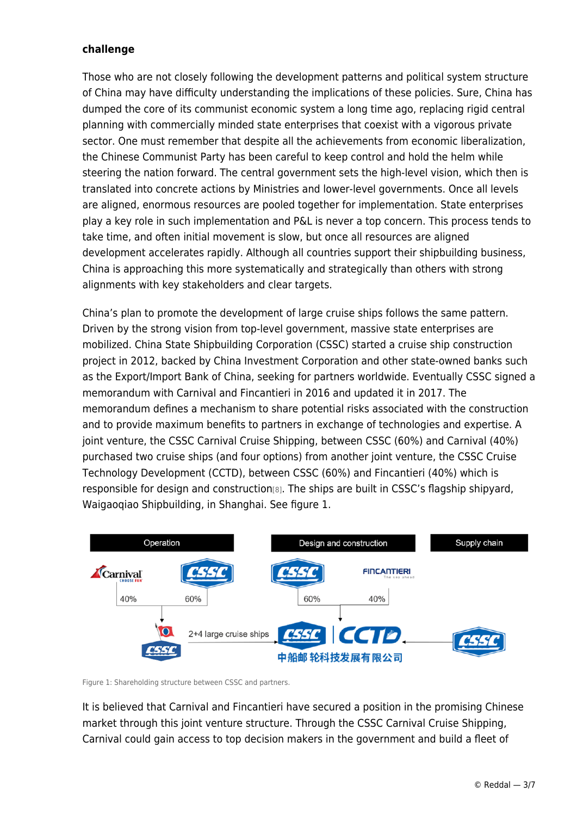#### **challenge**

Those who are not closely following the development patterns and political system structure of China may have difficulty understanding the implications of these policies. Sure, China has dumped the core of its communist economic system a long time ago, replacing rigid central planning with commercially minded state enterprises that coexist with a vigorous private sector. One must remember that despite all the achievements from economic liberalization, the Chinese Communist Party has been careful to keep control and hold the helm while steering the nation forward. The central government sets the high-level vision, which then is translated into concrete actions by Ministries and lower-level governments. Once all levels are aligned, enormous resources are pooled together for implementation. State enterprises play a key role in such implementation and P&L is never a top concern. This process tends to take time, and often initial movement is slow, but once all resources are aligned development accelerates rapidly. Although all countries support their shipbuilding business, China is approaching this more systematically and strategically than others with strong alignments with key stakeholders and clear targets.

China's plan to promote the development of large cruise ships follows the same pattern. Driven by the strong vision from top-level government, massive state enterprises are mobilized. China State Shipbuilding Corporation (CSSC) started a cruise ship construction project in 2012, backed by China Investment Corporation and other state-owned banks such as the Export/Import Bank of China, seeking for partners worldwide. Eventually CSSC signed a memorandum with Carnival and Fincantieri in 2016 and updated it in 2017. The memorandum defines a mechanism to share potential risks associated with the construction and to provide maximum benefits to partners in exchange of technologies and expertise. A joint venture, the CSSC Carnival Cruise Shipping, between CSSC (60%) and Carnival (40%) purchased two cruise ships (and four options) from another joint venture, the CSSC Cruise Technology Development (CCTD), between CSSC (60%) and Fincantieri (40%) which is responsible for design and construction[8]. The ships are built in CSSC's flagship shipyard, Waigaoqiao Shipbuilding, in Shanghai. See figure 1.



Figure 1: Shareholding structure between CSSC and partners.

It is believed that Carnival and Fincantieri have secured a position in the promising Chinese market through this joint venture structure. Through the CSSC Carnival Cruise Shipping, Carnival could gain access to top decision makers in the government and build a fleet of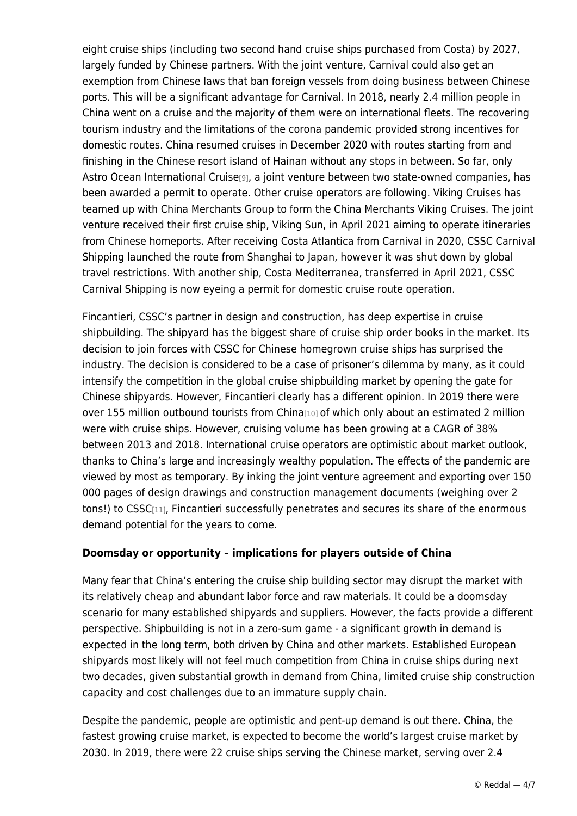eight cruise ships (including two second hand cruise ships purchased from Costa) by 2027, largely funded by Chinese partners. With the joint venture, Carnival could also get an exemption from Chinese laws that ban foreign vessels from doing business between Chinese ports. This will be a significant advantage for Carnival. In 2018, nearly 2.4 million people in China went on a cruise and the majority of them were on international fleets. The recovering tourism industry and the limitations of the corona pandemic provided strong incentives for domestic routes. China resumed cruises in December 2020 with routes starting from and finishing in the Chinese resort island of Hainan without any stops in between. So far, only Astro Ocean International Cruise[9], a joint venture between two state-owned companies, has been awarded a permit to operate. Other cruise operators are following. Viking Cruises has teamed up with China Merchants Group to form the China Merchants Viking Cruises. The joint venture received their first cruise ship, Viking Sun, in April 2021 aiming to operate itineraries from Chinese homeports. After receiving Costa Atlantica from Carnival in 2020, CSSC Carnival Shipping launched the route from Shanghai to Japan, however it was shut down by global travel restrictions. With another ship, Costa Mediterranea, transferred in April 2021, CSSC Carnival Shipping is now eyeing a permit for domestic cruise route operation.

Fincantieri, CSSC's partner in design and construction, has deep expertise in cruise shipbuilding. The shipyard has the biggest share of cruise ship order books in the market. Its decision to join forces with CSSC for Chinese homegrown cruise ships has surprised the industry. The decision is considered to be a case of prisoner's dilemma by many, as it could intensify the competition in the global cruise shipbuilding market by opening the gate for Chinese shipyards. However, Fincantieri clearly has a different opinion. In 2019 there were over 155 million outbound tourists from China<a>[10]</a> of which only about an estimated 2 million were with cruise ships. However, cruising volume has been growing at a CAGR of 38% between 2013 and 2018. International cruise operators are optimistic about market outlook, thanks to China's large and increasingly wealthy population. The effects of the pandemic are viewed by most as temporary. By inking the joint venture agreement and exporting over 150 000 pages of design drawings and construction management documents (weighing over 2 tons!) to CSSC[11], Fincantieri successfully penetrates and secures its share of the enormous demand potential for the years to come.

# **Doomsday or opportunity – implications for players outside of China**

Many fear that China's entering the cruise ship building sector may disrupt the market with its relatively cheap and abundant labor force and raw materials. It could be a doomsday scenario for many established shipyards and suppliers. However, the facts provide a different perspective. Shipbuilding is not in a zero-sum game - a significant growth in demand is expected in the long term, both driven by China and other markets. Established European shipyards most likely will not feel much competition from China in cruise ships during next two decades, given substantial growth in demand from China, limited cruise ship construction capacity and cost challenges due to an immature supply chain.

Despite the pandemic, people are optimistic and pent-up demand is out there. China, the fastest growing cruise market, is expected to become the world's largest cruise market by 2030. In 2019, there were 22 cruise ships serving the Chinese market, serving over 2.4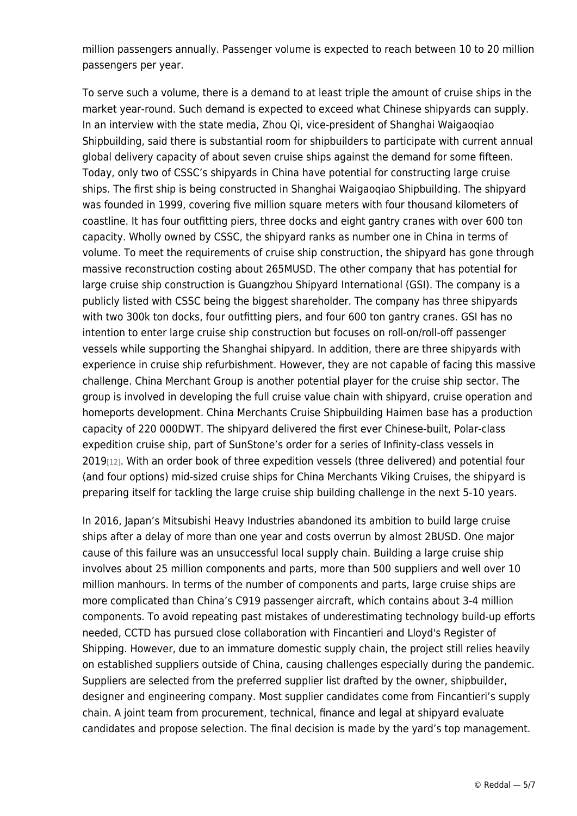million passengers annually. Passenger volume is expected to reach between 10 to 20 million passengers per year.

To serve such a volume, there is a demand to at least triple the amount of cruise ships in the market year-round. Such demand is expected to exceed what Chinese shipyards can supply. In an interview with the state media, Zhou Qi, vice-president of Shanghai Waigaoqiao Shipbuilding, said there is substantial room for shipbuilders to participate with current annual global delivery capacity of about seven cruise ships against the demand for some fifteen. Today, only two of CSSC's shipyards in China have potential for constructing large cruise ships. The first ship is being constructed in Shanghai Waigaoqiao Shipbuilding. The shipyard was founded in 1999, covering five million square meters with four thousand kilometers of coastline. It has four outfitting piers, three docks and eight gantry cranes with over 600 ton capacity. Wholly owned by CSSC, the shipyard ranks as number one in China in terms of volume. To meet the requirements of cruise ship construction, the shipyard has gone through massive reconstruction costing about 265MUSD. The other company that has potential for large cruise ship construction is Guangzhou Shipyard International (GSI). The company is a publicly listed with CSSC being the biggest shareholder. The company has three shipyards with two 300k ton docks, four outfitting piers, and four 600 ton gantry cranes. GSI has no intention to enter large cruise ship construction but focuses on roll-on/roll-off passenger vessels while supporting the Shanghai shipyard. In addition, there are three shipyards with experience in cruise ship refurbishment. However, they are not capable of facing this massive challenge. China Merchant Group is another potential player for the cruise ship sector. The group is involved in developing the full cruise value chain with shipyard, cruise operation and homeports development. China Merchants Cruise Shipbuilding Haimen base has a production capacity of 220 000DWT. The shipyard delivered the first ever Chinese-built, Polar-class expedition cruise ship, part of SunStone's order for a series of Infinity-class vessels in 2019[12]. With an order book of three expedition vessels (three delivered) and potential four (and four options) mid-sized cruise ships for China Merchants Viking Cruises, the shipyard is preparing itself for tackling the large cruise ship building challenge in the next 5-10 years.

In 2016, Japan's Mitsubishi Heavy Industries abandoned its ambition to build large cruise ships after a delay of more than one year and costs overrun by almost 2BUSD. One major cause of this failure was an unsuccessful local supply chain. Building a large cruise ship involves about 25 million components and parts, more than 500 suppliers and well over 10 million manhours. In terms of the number of components and parts, large cruise ships are more complicated than China's C919 passenger aircraft, which contains about 3-4 million components. To avoid repeating past mistakes of underestimating technology build-up efforts needed, CCTD has pursued close collaboration with Fincantieri and Lloyd's Register of Shipping. However, due to an immature domestic supply chain, the project still relies heavily on established suppliers outside of China, causing challenges especially during the pandemic. Suppliers are selected from the preferred supplier list drafted by the owner, shipbuilder, designer and engineering company. Most supplier candidates come from Fincantieri's supply chain. A joint team from procurement, technical, finance and legal at shipyard evaluate candidates and propose selection. The final decision is made by the yard's top management.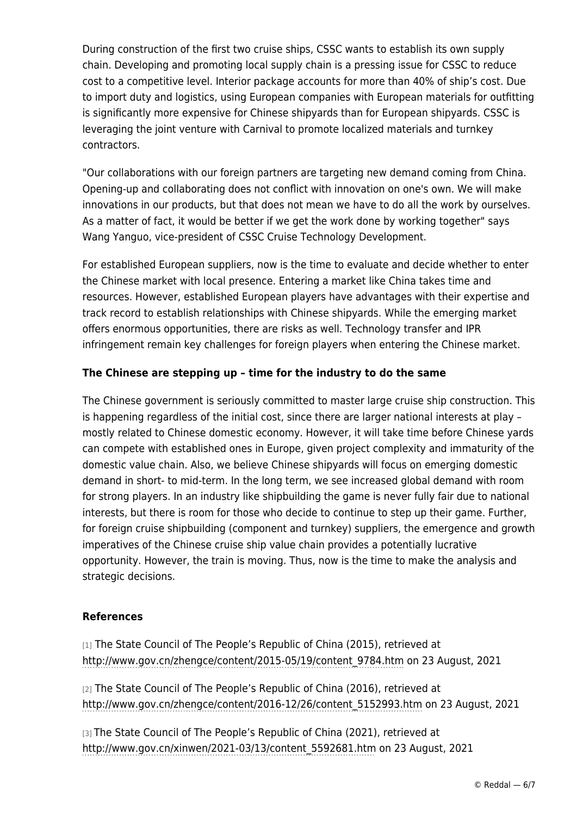During construction of the first two cruise ships, CSSC wants to establish its own supply chain. Developing and promoting local supply chain is a pressing issue for CSSC to reduce cost to a competitive level. Interior package accounts for more than 40% of ship's cost. Due to import duty and logistics, using European companies with European materials for outfitting is significantly more expensive for Chinese shipyards than for European shipyards. CSSC is leveraging the joint venture with Carnival to promote localized materials and turnkey contractors.

"Our collaborations with our foreign partners are targeting new demand coming from China. Opening-up and collaborating does not conflict with innovation on one's own. We will make innovations in our products, but that does not mean we have to do all the work by ourselves. As a matter of fact, it would be better if we get the work done by working together" says Wang Yanguo, vice-president of CSSC Cruise Technology Development.

For established European suppliers, now is the time to evaluate and decide whether to enter the Chinese market with local presence. Entering a market like China takes time and resources. However, established European players have advantages with their expertise and track record to establish relationships with Chinese shipyards. While the emerging market offers enormous opportunities, there are risks as well. Technology transfer and IPR infringement remain key challenges for foreign players when entering the Chinese market.

# **The Chinese are stepping up – time for the industry to do the same**

The Chinese government is seriously committed to master large cruise ship construction. This is happening regardless of the initial cost, since there are larger national interests at play – mostly related to Chinese domestic economy. However, it will take time before Chinese yards can compete with established ones in Europe, given project complexity and immaturity of the domestic value chain. Also, we believe Chinese shipyards will focus on emerging domestic demand in short- to mid-term. In the long term, we see increased global demand with room for strong players. In an industry like shipbuilding the game is never fully fair due to national interests, but there is room for those who decide to continue to step up their game. Further, for foreign cruise shipbuilding (component and turnkey) suppliers, the emergence and growth imperatives of the Chinese cruise ship value chain provides a potentially lucrative opportunity. However, the train is moving. Thus, now is the time to make the analysis and strategic decisions.

#### **References**

[1] The State Council of The People's Republic of China (2015), retrieved at [http://www.gov.cn/zhengce/content/2015-05/19/content\\_9784.htm](http://www.gov.cn/zhengce/content/2015-05/19/content_9784.htm) on 23 August, 2021

[2] The State Council of The People's Republic of China (2016), retrieved at [http://www.gov.cn/zhengce/content/2016-12/26/content\\_5152993.htm](http://www.gov.cn/zhengce/content/2016-12/26/content_5152993.htm) on 23 August, 2021

[3] The State Council of The People's Republic of China (2021), retrieved at [http://www.gov.cn/xinwen/2021-03/13/content\\_5592681.htm](http://www.gov.cn/xinwen/2021-03/13/content_5592681.htm) on 23 August, 2021